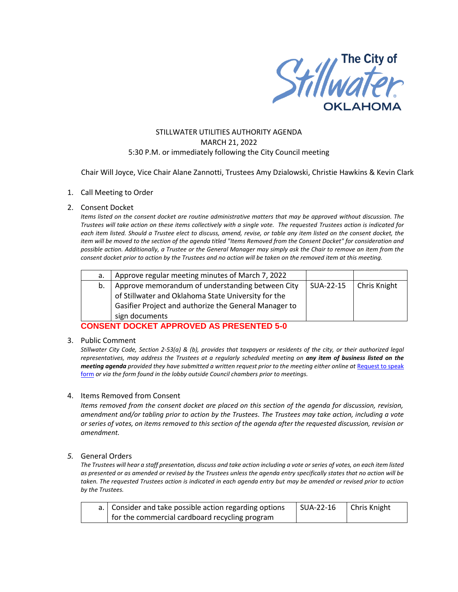

# STILLWATER UTILITIES AUTHORITY AGENDA MARCH 21, 2022 5:30 P.M. or immediately following the City Council meeting

Chair Will Joyce, Vice Chair Alane Zannotti, Trustees Amy Dzialowski, Christie Hawkins & Kevin Clark

## 1. Call Meeting to Order

### 2. Consent Docket

*Items listed on the consent docket are routine administrative matters that may be approved without discussion. The Trustees will take action on these items collectively with a single vote. The requested Trustees action is indicated for each item listed. Should a Trustee elect to discuss, amend, revise, or table any item listed on the consent docket, the item will be moved to the section of the agenda titled "Items Removed from the Consent Docket" for consideration and possible action. Additionally, a Trustee or the General Manager may simply ask the Chair to remove an item from the consent docket prior to action by the Trustees and no action will be taken on the removed item at this meeting.*

| а. | Approve regular meeting minutes of March 7, 2022      |           |                     |
|----|-------------------------------------------------------|-----------|---------------------|
| b. | Approve memorandum of understanding between City      | SUA-22-15 | <b>Chris Knight</b> |
|    | of Stillwater and Oklahoma State University for the   |           |                     |
|    | Gasifier Project and authorize the General Manager to |           |                     |
|    | sign documents                                        |           |                     |

**CONSENT DOCKET APPROVED AS PRESENTED 5-0**

### 3. Public Comment

*Stillwater City Code, Section 2-53(a) & (b), provides that taxpayers or residents of the city, or their authorized legal representatives, may address the Trustees at a regularly scheduled meeting on any item of business listed on the meeting agenda provided they have submitted a written request prior to the meeting either online at Request to speak* [form](http://stillwater.org/page/home/government/mayor-city-council/meetings-agendas-minutes/online-request-to-speak-at-city-council) *or via the form found in the lobby outside Council chambers prior to meetings.*

### 4. Items Removed from Consent

*Items removed from the consent docket are placed on this section of the agenda for discussion, revision, amendment and/or tabling prior to action by the Trustees. The Trustees may take action, including a vote or series of votes, on items removed to this section of the agenda after the requested discussion, revision or amendment.* 

### *5.* General Orders

*The Trustees will hear a staff presentation, discuss and take action including a vote or series of votes, on each item listed as presented or as amended or revised by the Trustees unless the agenda entry specifically states that no action will be taken. The requested Trustees action is indicated in each agenda entry but may be amended or revised prior to action by the Trustees.* 

| a. Consider and take possible action regarding options | l SUA-22-16 | Chris Knight |
|--------------------------------------------------------|-------------|--------------|
| for the commercial cardboard recycling program         |             |              |